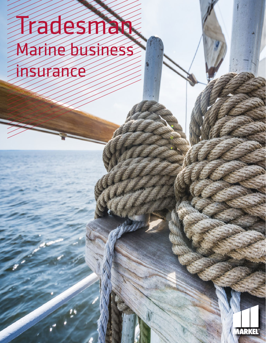# Tradesman Marine business insurance